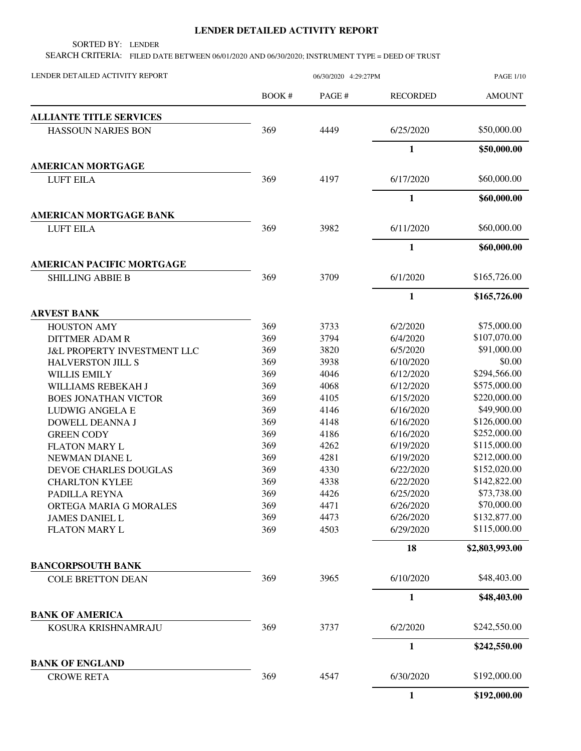## **LENDER DETAILED ACTIVITY REPORT**

SORTED BY: LENDER

SEARCH CRITERIA: FILED DATE BETWEEN 06/01/2020 AND 06/30/2020; INSTRUMENT TYPE = DEED OF TRUST

| LENDER DETAILED ACTIVITY REPORT        |              | <b>PAGE 1/10</b> |                 |                |
|----------------------------------------|--------------|------------------|-----------------|----------------|
|                                        | <b>BOOK#</b> | PAGE#            | <b>RECORDED</b> | <b>AMOUNT</b>  |
| <b>ALLIANTE TITLE SERVICES</b>         |              |                  |                 |                |
| <b>HASSOUN NARJES BON</b>              | 369          | 4449             | 6/25/2020       | \$50,000.00    |
|                                        |              |                  | $\mathbf{1}$    | \$50,000.00    |
| <b>AMERICAN MORTGAGE</b>               |              |                  |                 |                |
| <b>LUFT EILA</b>                       | 369          | 4197             | 6/17/2020       | \$60,000.00    |
|                                        |              |                  | $\mathbf{1}$    | \$60,000.00    |
| <b>AMERICAN MORTGAGE BANK</b>          |              |                  |                 |                |
| <b>LUFT EILA</b>                       | 369          | 3982             | 6/11/2020       | \$60,000.00    |
|                                        |              |                  | 1               | \$60,000.00    |
| <b>AMERICAN PACIFIC MORTGAGE</b>       |              |                  |                 |                |
| <b>SHILLING ABBIE B</b>                | 369          | 3709             | 6/1/2020        | \$165,726.00   |
|                                        |              |                  | $\mathbf{1}$    | \$165,726.00   |
| <b>ARVEST BANK</b>                     |              |                  |                 |                |
| <b>HOUSTON AMY</b>                     | 369          | 3733             | 6/2/2020        | \$75,000.00    |
| <b>DITTMER ADAM R</b>                  | 369          | 3794             | 6/4/2020        | \$107,070.00   |
| <b>J&amp;L PROPERTY INVESTMENT LLC</b> | 369          | 3820             | 6/5/2020        | \$91,000.00    |
| <b>HALVERSTON JILL S</b>               | 369          | 3938             | 6/10/2020       | \$0.00         |
| <b>WILLIS EMILY</b>                    | 369          | 4046             | 6/12/2020       | \$294,566.00   |
| WILLIAMS REBEKAH J                     | 369          | 4068             | 6/12/2020       | \$575,000.00   |
| <b>BOES JONATHAN VICTOR</b>            | 369          | 4105             | 6/15/2020       | \$220,000.00   |
| <b>LUDWIG ANGELA E</b>                 | 369          | 4146             | 6/16/2020       | \$49,900.00    |
| DOWELL DEANNA J                        | 369          | 4148             | 6/16/2020       | \$126,000.00   |
| <b>GREEN CODY</b>                      | 369          | 4186             | 6/16/2020       | \$252,000.00   |
| <b>FLATON MARY L</b>                   | 369          | 4262             | 6/19/2020       | \$115,000.00   |
| NEWMAN DIANE L                         | 369          | 4281             | 6/19/2020       | \$212,000.00   |
| DEVOE CHARLES DOUGLAS                  | 369          | 4330             | 6/22/2020       | \$152,020.00   |
| <b>CHARLTON KYLEE</b>                  | 369          | 4338             | 6/22/2020       | \$142,822.00   |
| PADILLA REYNA                          | 369          | 4426             | 6/25/2020       | \$73,738.00    |
| ORTEGA MARIA G MORALES                 | 369          | 4471             | 6/26/2020       | \$70,000.00    |
| <b>JAMES DANIEL L</b>                  | 369          | 4473             | 6/26/2020       | \$132,877.00   |
| <b>FLATON MARY L</b>                   | 369          | 4503             | 6/29/2020       | \$115,000.00   |
|                                        |              |                  | 18              | \$2,803,993.00 |
| <b>BANCORPSOUTH BANK</b>               |              |                  |                 |                |
| <b>COLE BRETTON DEAN</b>               | 369          | 3965             | 6/10/2020       | \$48,403.00    |
|                                        |              |                  | $\mathbf{1}$    | \$48,403.00    |
| <b>BANK OF AMERICA</b>                 |              |                  |                 |                |
| KOSURA KRISHNAMRAJU                    | 369          | 3737             | 6/2/2020        | \$242,550.00   |
|                                        |              |                  | 1               | \$242,550.00   |
| <b>BANK OF ENGLAND</b>                 |              |                  |                 |                |
| <b>CROWE RETA</b>                      | 369          | 4547             | 6/30/2020       | \$192,000.00   |
|                                        |              |                  | $\mathbf{1}$    | \$192,000.00   |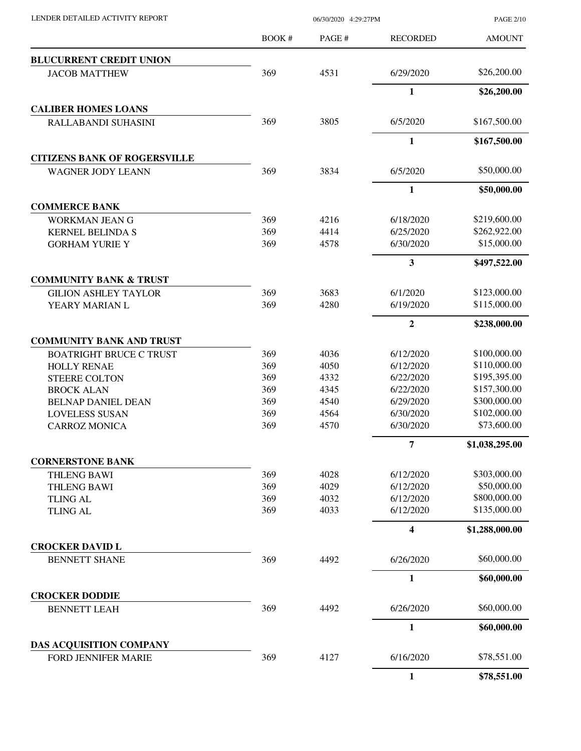| LENDER DETAILED ACTIVITY REPORT |  |
|---------------------------------|--|

06/30/2020 4:29:27PM

PAGE 2/10

|                                                       | BOOK# | PAGE# | <b>RECORDED</b>         | <b>AMOUNT</b>  |
|-------------------------------------------------------|-------|-------|-------------------------|----------------|
| <b>BLUCURRENT CREDIT UNION</b>                        |       |       |                         |                |
| <b>JACOB MATTHEW</b>                                  | 369   | 4531  | 6/29/2020               | \$26,200.00    |
|                                                       |       |       | $\mathbf{1}$            | \$26,200.00    |
| <b>CALIBER HOMES LOANS</b>                            |       |       |                         |                |
| RALLABANDI SUHASINI                                   | 369   | 3805  | 6/5/2020                | \$167,500.00   |
|                                                       |       |       | $\mathbf{1}$            | \$167,500.00   |
| <b>CITIZENS BANK OF ROGERSVILLE</b>                   |       |       |                         |                |
| <b>WAGNER JODY LEANN</b>                              | 369   | 3834  | 6/5/2020                | \$50,000.00    |
|                                                       |       |       | $\mathbf{1}$            | \$50,000.00    |
| <b>COMMERCE BANK</b>                                  |       |       |                         |                |
| <b>WORKMAN JEAN G</b>                                 | 369   | 4216  | 6/18/2020               | \$219,600.00   |
| <b>KERNEL BELINDA S</b>                               | 369   | 4414  | 6/25/2020               | \$262,922.00   |
| <b>GORHAM YURIE Y</b>                                 | 369   | 4578  | 6/30/2020               | \$15,000.00    |
|                                                       |       |       | $\overline{\mathbf{3}}$ | \$497,522.00   |
| <b>COMMUNITY BANK &amp; TRUST</b>                     |       |       |                         |                |
| <b>GILION ASHLEY TAYLOR</b>                           | 369   | 3683  | 6/1/2020                | \$123,000.00   |
| YEARY MARIAN L                                        | 369   | 4280  | 6/19/2020               | \$115,000.00   |
|                                                       |       |       | $\overline{2}$          | \$238,000.00   |
| <b>COMMUNITY BANK AND TRUST</b>                       |       |       |                         |                |
| <b>BOATRIGHT BRUCE C TRUST</b>                        | 369   | 4036  | 6/12/2020               | \$100,000.00   |
| <b>HOLLY RENAE</b>                                    | 369   | 4050  | 6/12/2020               | \$110,000.00   |
| <b>STEERE COLTON</b>                                  | 369   | 4332  | 6/22/2020               | \$195,395.00   |
| <b>BROCK ALAN</b>                                     | 369   | 4345  | 6/22/2020               | \$157,300.00   |
| <b>BELNAP DANIEL DEAN</b>                             | 369   | 4540  | 6/29/2020               | \$300,000.00   |
| <b>LOVELESS SUSAN</b>                                 | 369   | 4564  | 6/30/2020               | \$102,000.00   |
| <b>CARROZ MONICA</b>                                  | 369   | 4570  | 6/30/2020               | \$73,600.00    |
|                                                       |       |       | 7                       | \$1,038,295.00 |
| <b>CORNERSTONE BANK</b>                               |       |       |                         |                |
| <b>THLENG BAWI</b>                                    | 369   | 4028  | 6/12/2020               | \$303,000.00   |
| <b>THLENG BAWI</b>                                    | 369   | 4029  | 6/12/2020               | \$50,000.00    |
| <b>TLING AL</b>                                       | 369   | 4032  | 6/12/2020               | \$800,000.00   |
| <b>TLING AL</b>                                       | 369   | 4033  | 6/12/2020               | \$135,000.00   |
|                                                       |       |       | $\overline{\mathbf{4}}$ | \$1,288,000.00 |
| <b>CROCKER DAVID L</b>                                |       |       |                         |                |
| <b>BENNETT SHANE</b>                                  | 369   | 4492  | 6/26/2020               | \$60,000.00    |
|                                                       |       |       | 1                       | \$60,000.00    |
| <b>CROCKER DODDIE</b>                                 |       |       |                         |                |
| <b>BENNETT LEAH</b>                                   | 369   | 4492  | 6/26/2020               | \$60,000.00    |
|                                                       |       |       | $\mathbf{1}$            | \$60,000.00    |
| DAS ACQUISITION COMPANY<br><b>FORD JENNIFER MARIE</b> | 369   | 4127  | 6/16/2020               | \$78,551.00    |
|                                                       |       |       | $\mathbf{1}$            | \$78,551.00    |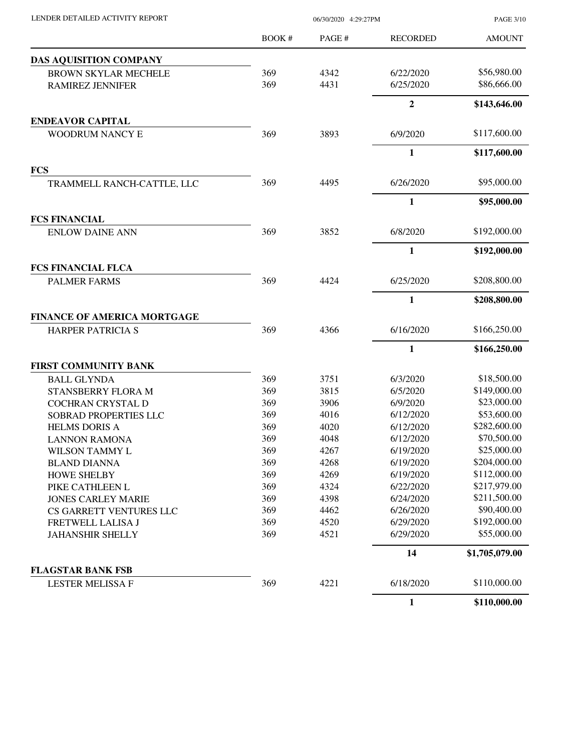| LENDER DETAILED ACTIVITY REPORT    |              | 06/30/2020 4:29:27PM |                 | <b>PAGE 3/10</b> |
|------------------------------------|--------------|----------------------|-----------------|------------------|
|                                    | <b>BOOK#</b> | PAGE#                | <b>RECORDED</b> | <b>AMOUNT</b>    |
| <b>DAS AQUISITION COMPANY</b>      |              |                      |                 |                  |
| <b>BROWN SKYLAR MECHELE</b>        | 369          | 4342                 | 6/22/2020       | \$56,980.00      |
| <b>RAMIREZ JENNIFER</b>            | 369          | 4431                 | 6/25/2020       | \$86,666.00      |
|                                    |              |                      | $\mathbf{2}$    | \$143,646.00     |
| <b>ENDEAVOR CAPITAL</b>            |              |                      |                 |                  |
| WOODRUM NANCY E                    | 369          | 3893                 | 6/9/2020        | \$117,600.00     |
|                                    |              |                      | $\mathbf{1}$    | \$117,600.00     |
| <b>FCS</b>                         |              |                      |                 |                  |
| TRAMMELL RANCH-CATTLE, LLC         | 369          | 4495                 | 6/26/2020       | \$95,000.00      |
|                                    |              |                      | 1               | \$95,000.00      |
| <b>FCS FINANCIAL</b>               |              |                      |                 |                  |
| <b>ENLOW DAINE ANN</b>             | 369          | 3852                 | 6/8/2020        | \$192,000.00     |
|                                    |              |                      | $\mathbf{1}$    | \$192,000.00     |
| <b>FCS FINANCIAL FLCA</b>          |              |                      |                 |                  |
| <b>PALMER FARMS</b>                | 369          | 4424                 | 6/25/2020       | \$208,800.00     |
|                                    |              |                      | 1               | \$208,800.00     |
| <b>FINANCE OF AMERICA MORTGAGE</b> |              |                      |                 |                  |
| HARPER PATRICIA S                  | 369          | 4366                 | 6/16/2020       | \$166,250.00     |
|                                    |              |                      | $\mathbf{1}$    | \$166,250.00     |
| <b>FIRST COMMUNITY BANK</b>        |              |                      |                 |                  |
| <b>BALL GLYNDA</b>                 | 369          | 3751                 | 6/3/2020        | \$18,500.00      |
| STANSBERRY FLORA M                 | 369          | 3815                 | 6/5/2020        | \$149,000.00     |
| COCHRAN CRYSTAL D                  | 369          | 3906                 | 6/9/2020        | \$23,000.00      |
| SOBRAD PROPERTIES LLC              | 369          | 4016                 | 6/12/2020       | \$53,600.00      |
| <b>HELMS DORIS A</b>               | 369          | 4020                 | 6/12/2020       | \$282,600.00     |
| <b>LANNON RAMONA</b>               | 369          | 4048                 | 6/12/2020       | \$70,500.00      |
| <b>WILSON TAMMY L</b>              | 369          | 4267                 | 6/19/2020       | \$25,000.00      |
| <b>BLAND DIANNA</b>                | 369          | 4268                 | 6/19/2020       | \$204,000.00     |
| <b>HOWE SHELBY</b>                 | 369          | 4269                 | 6/19/2020       | \$112,000.00     |
| PIKE CATHLEEN L                    | 369          | 4324                 | 6/22/2020       | \$217,979.00     |
| <b>JONES CARLEY MARIE</b>          | 369          | 4398                 | 6/24/2020       | \$211,500.00     |
| CS GARRETT VENTURES LLC            | 369          | 4462                 | 6/26/2020       | \$90,400.00      |
| FRETWELL LALISA J                  | 369          | 4520                 | 6/29/2020       | \$192,000.00     |
| <b>JAHANSHIR SHELLY</b>            | 369          | 4521                 | 6/29/2020       | \$55,000.00      |
|                                    |              |                      | 14              | \$1,705,079.00   |
| <b>FLAGSTAR BANK FSB</b>           |              |                      |                 |                  |
| <b>LESTER MELISSA F</b>            | 369          | 4221                 | 6/18/2020       | \$110,000.00     |
|                                    |              |                      | $\mathbf{1}$    | \$110,000.00     |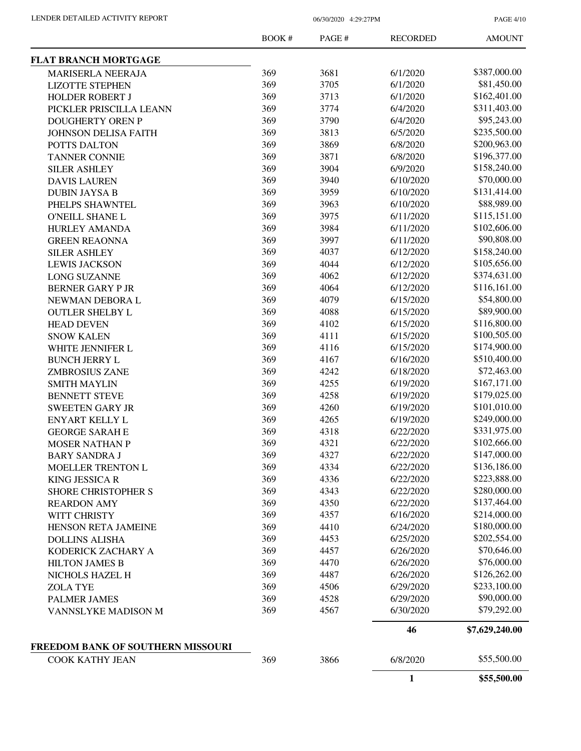PAGE 4/10

|                                   | <b>BOOK#</b> | PAGE# | <b>RECORDED</b> | <b>AMOUNT</b>  |
|-----------------------------------|--------------|-------|-----------------|----------------|
| <b>FLAT BRANCH MORTGAGE</b>       |              |       |                 |                |
| MARISERLA NEERAJA                 | 369          | 3681  | 6/1/2020        | \$387,000.00   |
| <b>LIZOTTE STEPHEN</b>            | 369          | 3705  | 6/1/2020        | \$81,450.00    |
| <b>HOLDER ROBERT J</b>            | 369          | 3713  | 6/1/2020        | \$162,401.00   |
| PICKLER PRISCILLA LEANN           | 369          | 3774  | 6/4/2020        | \$311,403.00   |
| <b>DOUGHERTY OREN P</b>           | 369          | 3790  | 6/4/2020        | \$95,243.00    |
| <b>JOHNSON DELISA FAITH</b>       | 369          | 3813  | 6/5/2020        | \$235,500.00   |
| POTTS DALTON                      | 369          | 3869  | 6/8/2020        | \$200,963.00   |
| <b>TANNER CONNIE</b>              | 369          | 3871  | 6/8/2020        | \$196,377.00   |
| <b>SILER ASHLEY</b>               | 369          | 3904  | 6/9/2020        | \$158,240.00   |
| <b>DAVIS LAUREN</b>               | 369          | 3940  | 6/10/2020       | \$70,000.00    |
| <b>DUBIN JAYSA B</b>              | 369          | 3959  | 6/10/2020       | \$131,414.00   |
| PHELPS SHAWNTEL                   | 369          | 3963  | 6/10/2020       | \$88,989.00    |
| <b>O'NEILL SHANE L</b>            | 369          | 3975  | 6/11/2020       | \$115,151.00   |
| <b>HURLEY AMANDA</b>              | 369          | 3984  | 6/11/2020       | \$102,606.00   |
| <b>GREEN REAONNA</b>              | 369          | 3997  | 6/11/2020       | \$90,808.00    |
| <b>SILER ASHLEY</b>               | 369          | 4037  | 6/12/2020       | \$158,240.00   |
| <b>LEWIS JACKSON</b>              | 369          | 4044  | 6/12/2020       | \$105,656.00   |
|                                   | 369          | 4062  | 6/12/2020       | \$374,631.00   |
| <b>LONG SUZANNE</b>               | 369          |       |                 | \$116,161.00   |
| <b>BERNER GARY PJR</b>            |              | 4064  | 6/12/2020       |                |
| NEWMAN DEBORA L                   | 369          | 4079  | 6/15/2020       | \$54,800.00    |
| <b>OUTLER SHELBY L</b>            | 369          | 4088  | 6/15/2020       | \$89,900.00    |
| <b>HEAD DEVEN</b>                 | 369          | 4102  | 6/15/2020       | \$116,800.00   |
| <b>SNOW KALEN</b>                 | 369          | 4111  | 6/15/2020       | \$100,505.00   |
| WHITE JENNIFER L                  | 369          | 4116  | 6/15/2020       | \$174,900.00   |
| <b>BUNCH JERRY L</b>              | 369          | 4167  | 6/16/2020       | \$510,400.00   |
| <b>ZMBROSIUS ZANE</b>             | 369          | 4242  | 6/18/2020       | \$72,463.00    |
| <b>SMITH MAYLIN</b>               | 369          | 4255  | 6/19/2020       | \$167,171.00   |
| <b>BENNETT STEVE</b>              | 369          | 4258  | 6/19/2020       | \$179,025.00   |
| <b>SWEETEN GARY JR</b>            | 369          | 4260  | 6/19/2020       | \$101,010.00   |
| <b>ENYART KELLY L</b>             | 369          | 4265  | 6/19/2020       | \$249,000.00   |
| <b>GEORGE SARAH E</b>             | 369          | 4318  | 6/22/2020       | \$331,975.00   |
| <b>MOSER NATHAN P</b>             | 369          | 4321  | 6/22/2020       | \$102,666.00   |
| <b>BARY SANDRA J</b>              | 369          | 4327  | 6/22/2020       | \$147,000.00   |
| <b>MOELLER TRENTON L</b>          | 369          | 4334  | 6/22/2020       | \$136,186.00   |
| <b>KING JESSICA R</b>             | 369          | 4336  | 6/22/2020       | \$223,888.00   |
| <b>SHORE CHRISTOPHER S</b>        | 369          | 4343  | 6/22/2020       | \$280,000.00   |
| <b>REARDON AMY</b>                | 369          | 4350  | 6/22/2020       | \$137,464.00   |
| WITT CHRISTY                      | 369          | 4357  | 6/16/2020       | \$214,000.00   |
| HENSON RETA JAMEINE               | 369          | 4410  | 6/24/2020       | \$180,000.00   |
| <b>DOLLINS ALISHA</b>             | 369          | 4453  | 6/25/2020       | \$202,554.00   |
| KODERICK ZACHARY A                | 369          | 4457  | 6/26/2020       | \$70,646.00    |
| <b>HILTON JAMES B</b>             | 369          | 4470  | 6/26/2020       | \$76,000.00    |
| NICHOLS HAZEL H                   | 369          | 4487  | 6/26/2020       | \$126,262.00   |
| <b>ZOLA TYE</b>                   | 369          | 4506  | 6/29/2020       | \$233,100.00   |
| <b>PALMER JAMES</b>               | 369          | 4528  | 6/29/2020       | \$90,000.00    |
| VANNSLYKE MADISON M               | 369          | 4567  | 6/30/2020       | \$79,292.00    |
|                                   |              |       | 46              | \$7,629,240.00 |
| FREEDOM BANK OF SOUTHERN MISSOURI |              |       |                 | \$55,500.00    |
| COOK KATHY JEAN                   | 369          | 3866  | 6/8/2020        |                |
|                                   |              |       | $\mathbf{1}$    | \$55,500.00    |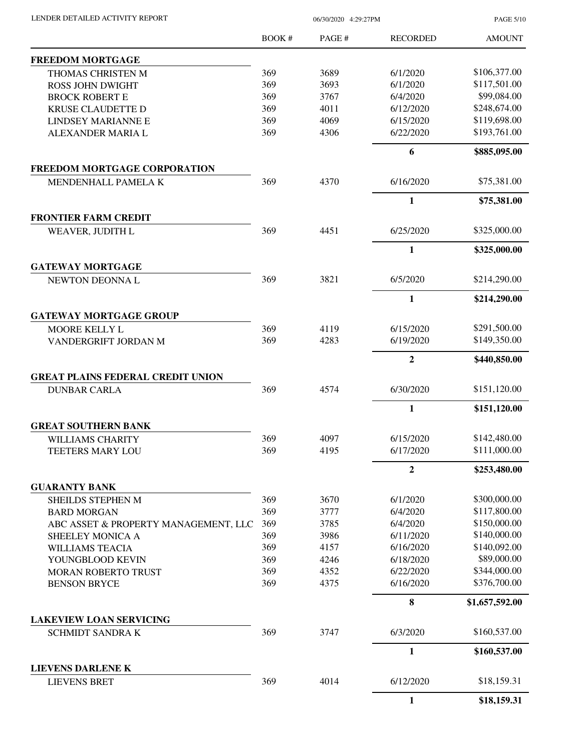LENDER DETAILED ACTIVITY REPORT 06/30/2020 4:29:27PM

PAGE 5/10

|                                                 | BOOK# | PAGE # | <b>RECORDED</b> | <b>AMOUNT</b>  |
|-------------------------------------------------|-------|--------|-----------------|----------------|
| <b>FREEDOM MORTGAGE</b>                         |       |        |                 |                |
| THOMAS CHRISTEN M                               | 369   | 3689   | 6/1/2020        | \$106,377.00   |
| <b>ROSS JOHN DWIGHT</b>                         | 369   | 3693   | 6/1/2020        | \$117,501.00   |
| <b>BROCK ROBERT E</b>                           | 369   | 3767   | 6/4/2020        | \$99,084.00    |
| <b>KRUSE CLAUDETTE D</b>                        | 369   | 4011   | 6/12/2020       | \$248,674.00   |
| <b>LINDSEY MARIANNE E</b>                       | 369   | 4069   | 6/15/2020       | \$119,698.00   |
| ALEXANDER MARIA L                               | 369   | 4306   | 6/22/2020       | \$193,761.00   |
|                                                 |       |        | 6               | \$885,095.00   |
| <b>FREEDOM MORTGAGE CORPORATION</b>             |       |        |                 |                |
| MENDENHALL PAMELA K                             | 369   | 4370   | 6/16/2020       | \$75,381.00    |
|                                                 |       |        | $\mathbf{1}$    | \$75,381.00    |
| <b>FRONTIER FARM CREDIT</b>                     | 369   | 4451   | 6/25/2020       | \$325,000.00   |
| WEAVER, JUDITH L                                |       |        |                 |                |
|                                                 |       |        | $\mathbf{1}$    | \$325,000.00   |
| <b>GATEWAY MORTGAGE</b><br>NEWTON DEONNAL       | 369   | 3821   | 6/5/2020        | \$214,290.00   |
|                                                 |       |        | $\mathbf{1}$    | \$214,290.00   |
| <b>GATEWAY MORTGAGE GROUP</b>                   |       |        |                 |                |
| MOORE KELLY L                                   | 369   | 4119   | 6/15/2020       | \$291,500.00   |
| VANDERGRIFT JORDAN M                            | 369   | 4283   | 6/19/2020       | \$149,350.00   |
|                                                 |       |        | $\overline{2}$  | \$440,850.00   |
| <b>GREAT PLAINS FEDERAL CREDIT UNION</b>        |       |        |                 |                |
| <b>DUNBAR CARLA</b>                             | 369   | 4574   | 6/30/2020       | \$151,120.00   |
|                                                 |       |        | $\mathbf{1}$    | \$151,120.00   |
| <b>GREAT SOUTHERN BANK</b>                      |       |        |                 |                |
| <b>WILLIAMS CHARITY</b>                         | 369   | 4097   | 6/15/2020       | \$142,480.00   |
| TEETERS MARY LOU                                | 369   | 4195   | 6/17/2020       | \$111,000.00   |
|                                                 |       |        | $\mathbf{2}$    | \$253,480.00   |
| <b>GUARANTY BANK</b>                            |       |        |                 |                |
| SHEILDS STEPHEN M                               | 369   | 3670   | 6/1/2020        | \$300,000.00   |
| <b>BARD MORGAN</b>                              | 369   | 3777   | 6/4/2020        | \$117,800.00   |
| ABC ASSET & PROPERTY MANAGEMENT, LLC            | 369   | 3785   | 6/4/2020        | \$150,000.00   |
| SHEELEY MONICA A                                | 369   | 3986   | 6/11/2020       | \$140,000.00   |
| <b>WILLIAMS TEACIA</b>                          | 369   | 4157   | 6/16/2020       | \$140,092.00   |
| YOUNGBLOOD KEVIN                                | 369   | 4246   | 6/18/2020       | \$89,000.00    |
| <b>MORAN ROBERTO TRUST</b>                      | 369   | 4352   | 6/22/2020       | \$344,000.00   |
| <b>BENSON BRYCE</b>                             | 369   | 4375   | 6/16/2020       | \$376,700.00   |
|                                                 |       |        | 8               | \$1,657,592.00 |
| <b>LAKEVIEW LOAN SERVICING</b>                  |       |        |                 | \$160,537.00   |
| <b>SCHMIDT SANDRA K</b>                         | 369   | 3747   | 6/3/2020        |                |
|                                                 |       |        | $\mathbf{1}$    | \$160,537.00   |
| <b>LIEVENS DARLENE K</b><br><b>LIEVENS BRET</b> | 369   | 4014   | 6/12/2020       | \$18,159.31    |
|                                                 |       |        | 1               | \$18,159.31    |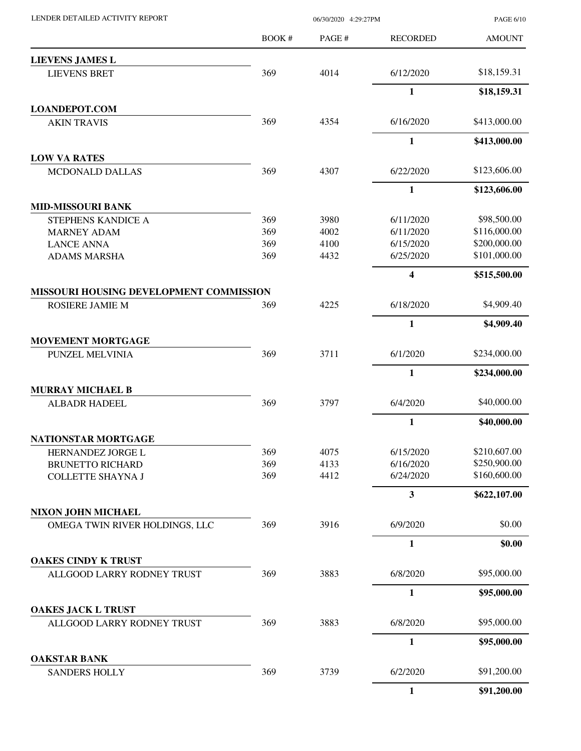| LENDER DETAILED ACTIVITY REPORT |       | PAGE 6/1 |                 |               |
|---------------------------------|-------|----------|-----------------|---------------|
|                                 | BOOK# | PAGE #   | <b>RECORDED</b> | <b>AMOUNT</b> |
| <b>LIEVENS JAMES L</b>          |       |          |                 |               |
| <b>LIEVENS BRET</b>             | 369   | 4014     | 6/12/2020       | \$18,159.31   |
|                                 |       |          | 1               | \$18,159.31   |
| <b>LOANDEPOT.COM</b>            |       |          |                 |               |
| <b>AKIN TRAVIS</b>              | 369   | 4354     | 6/16/2020       | \$413,000.00  |
|                                 |       |          | 1               | \$413,000.00  |
| <b>LOW VA RATES</b>             |       |          |                 |               |
| <b>MCDONALD DALLAS</b>          | 369   | 4307     | 6/22/2020       | \$123,606.00  |
|                                 |       |          | 1               | \$123,606.00  |
| <b>MID-MISSOURI BANK</b>        |       |          |                 |               |
| STEPHENS KANDICE A              | 369   | 3980     | 6/11/2020       | \$98,500.00   |

| STEPHENS KANDICE A | 209 | 998U | 0/11/2020 | 990,JUU.UU   |
|--------------------|-----|------|-----------|--------------|
| MARNEY ADAM        | 369 | 4002 | 6/11/2020 | \$116,000.00 |
| LANCE ANNA         | 369 | 4100 | 6/15/2020 | \$200,000.00 |
| ADAMS MARSHA       | 369 | 4432 | 6/25/2020 | \$101,000.00 |
|                    |     |      |           |              |

| <b>MISSOURI HOUSING DEVELOPMENT COMMISSION</b> |  |
|------------------------------------------------|--|
|                                                |  |

| <b>MOVEMENT MORTGAGE</b> |     |      |          |              |
|--------------------------|-----|------|----------|--------------|
| PUNZEL MELVINIA          | 369 | 3711 | 6/1/2020 | \$234,000.00 |
|                          |     |      |          | \$234,000.00 |

| <b>MURRAY MICHAEL B</b> |     |      |          |             |
|-------------------------|-----|------|----------|-------------|
| ALBADR HADEEL           | 369 | 3707 | 6/4/2020 | \$40,000.00 |

| NATIONSTAR MORTGAGE     |     |      |           |              |
|-------------------------|-----|------|-----------|--------------|
| HERNANDEZ JORGE L       | 369 | 4075 | 6/15/2020 | \$210,607.00 |
| <b>BRUNETTO RICHARD</b> | 369 | 4133 | 6/16/2020 | \$250,900.00 |
| COLLETTE SHAYNA I       | 369 | 4412 | 6/24/2020 | \$160,600.00 |

| <b>NIXON JOHN MICHAEL</b>      |     |      |          |        |
|--------------------------------|-----|------|----------|--------|
| OMEGA TWIN RIVER HOLDINGS, LLC | 369 | 3916 | 6/9/2020 | \$0.00 |

| <b>OAKES CINDY K TRUST</b> |     |      |          |             |
|----------------------------|-----|------|----------|-------------|
| ALLGOOD LARRY RODNEY TRUST | 369 | 3883 | 6/8/2020 | \$95,000.00 |

| <b>OAKES JACK L TRUST</b>  |     |      |          |             |
|----------------------------|-----|------|----------|-------------|
| ALLGOOD LARRY RODNEY TRUST | 369 | 3883 | 6/8/2020 | \$95,000.00 |
|                            |     |      |          |             |

| <b>OAKSTAR BANK</b>  |  |
|----------------------|--|
| <b>SANDERS HOLLY</b> |  |

| <b>EVENS JAMES L</b>                  |     |      |                         |              |
|---------------------------------------|-----|------|-------------------------|--------------|
| <b>LIEVENS BRET</b>                   | 369 | 4014 | 6/12/2020               | \$18,159.31  |
|                                       |     |      | $\mathbf{1}$            | \$18,159.31  |
| <b>ANDEPOT.COM</b>                    |     |      |                         |              |
| <b>AKIN TRAVIS</b>                    | 369 | 4354 | 6/16/2020               | \$413,000.00 |
|                                       |     |      | $\mathbf{1}$            | \$413,000.00 |
| <b>W VA RATES</b>                     |     |      |                         |              |
| MCDONALD DALLAS                       | 369 | 4307 | 6/22/2020               | \$123,606.00 |
|                                       |     |      | $\mathbf{1}$            | \$123,606.00 |
| <b>D-MISSOURI BANK</b>                |     |      |                         |              |
| STEPHENS KANDICE A                    | 369 | 3980 | 6/11/2020               | \$98,500.00  |
| <b>MARNEY ADAM</b>                    | 369 | 4002 | 6/11/2020               | \$116,000.00 |
| <b>LANCE ANNA</b>                     | 369 | 4100 | 6/15/2020               | \$200,000.00 |
| <b>ADAMS MARSHA</b>                   | 369 | 4432 | 6/25/2020               | \$101,000.00 |
|                                       |     |      | $\overline{\mathbf{4}}$ | \$515,500.00 |
| SSOURI HOUSING DEVELOPMENT COMMISSION |     |      |                         |              |
| ROSIERE JAMIE M                       | 369 | 4225 | 6/18/2020               | \$4,909.40   |
|                                       |     |      | $\mathbf{1}$            | \$4,909.40   |
| <b>OVEMENT MORTGAGE</b>               |     |      |                         |              |
| PUNZEL MELVINIA                       | 369 | 3711 | 6/1/2020                | \$234,000.00 |
|                                       |     |      | $\mathbf{1}$            | \$234,000.00 |
| <b>IRRAY MICHAEL B</b>                |     |      |                         |              |
| <b>ALBADR HADEEL</b>                  | 369 | 3797 | 6/4/2020                | \$40,000.00  |
|                                       |     |      | $\mathbf{1}$            | \$40,000.00  |
| <b>TIONSTAR MORTGAGE</b>              |     |      |                         |              |
| HERNANDEZ JORGE L                     | 369 | 4075 | 6/15/2020               | \$210,607.00 |
| <b>BRUNETTO RICHARD</b>               | 369 | 4133 | 6/16/2020               | \$250,900.00 |
| <b>COLLETTE SHAYNA J</b>              | 369 | 4412 | 6/24/2020               | \$160,600.00 |
|                                       |     |      | $\mathbf{3}$            | \$622,107.00 |
| KON JOHN MICHAEL                      |     |      |                         |              |

**1 \$0.00**

|                            |     |      |          | \$95,000.00 |
|----------------------------|-----|------|----------|-------------|
| <b>KES JACK L TRUST</b>    |     |      |          |             |
| ALLGOOD LARRY RODNEY TRUST | 369 | 3883 | 6/8/2020 | \$95,000.00 |
|                            |     |      |          | \$95,000.00 |
| <b>KSTAR BANK</b>          |     |      |          |             |
| <b>SANDERS HOLLY</b>       | 369 | 3739 | 6/2/2020 | \$91,200.00 |
|                            |     |      |          | \$91,200.00 |

PAGE 6/10

AMOUNT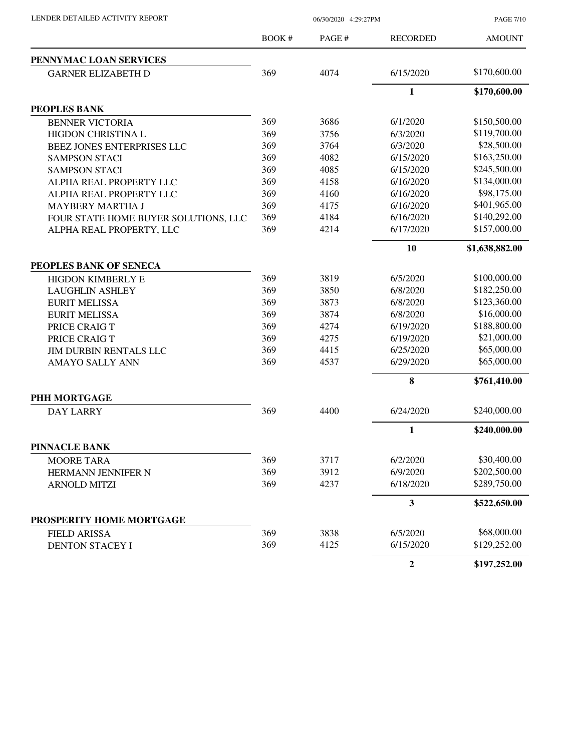|  | LENDER DETAILED ACTIVITY REPORT |  |
|--|---------------------------------|--|

06/30/2020 4:29:27PM

PAGE 7/10

|                                      | BOOK# | PAGE # | <b>RECORDED</b>         | <b>AMOUNT</b>  |
|--------------------------------------|-------|--------|-------------------------|----------------|
| PENNYMAC LOAN SERVICES               |       |        |                         |                |
| <b>GARNER ELIZABETH D</b>            | 369   | 4074   | 6/15/2020               | \$170,600.00   |
|                                      |       |        | 1                       | \$170,600.00   |
| PEOPLES BANK                         |       |        |                         |                |
| <b>BENNER VICTORIA</b>               | 369   | 3686   | 6/1/2020                | \$150,500.00   |
| HIGDON CHRISTINA L                   | 369   | 3756   | 6/3/2020                | \$119,700.00   |
| BEEZ JONES ENTERPRISES LLC           | 369   | 3764   | 6/3/2020                | \$28,500.00    |
| <b>SAMPSON STACI</b>                 | 369   | 4082   | 6/15/2020               | \$163,250.00   |
| <b>SAMPSON STACI</b>                 | 369   | 4085   | 6/15/2020               | \$245,500.00   |
| ALPHA REAL PROPERTY LLC              | 369   | 4158   | 6/16/2020               | \$134,000.00   |
| ALPHA REAL PROPERTY LLC              | 369   | 4160   | 6/16/2020               | \$98,175.00    |
| <b>MAYBERY MARTHA J</b>              | 369   | 4175   | 6/16/2020               | \$401,965.00   |
| FOUR STATE HOME BUYER SOLUTIONS, LLC | 369   | 4184   | 6/16/2020               | \$140,292.00   |
| ALPHA REAL PROPERTY, LLC             | 369   | 4214   | 6/17/2020               | \$157,000.00   |
|                                      |       |        | 10                      | \$1,638,882.00 |
| PEOPLES BANK OF SENECA               |       |        |                         |                |
| <b>HIGDON KIMBERLY E</b>             | 369   | 3819   | 6/5/2020                | \$100,000.00   |
| <b>LAUGHLIN ASHLEY</b>               | 369   | 3850   | 6/8/2020                | \$182,250.00   |
| <b>EURIT MELISSA</b>                 | 369   | 3873   | 6/8/2020                | \$123,360.00   |
| <b>EURIT MELISSA</b>                 | 369   | 3874   | 6/8/2020                | \$16,000.00    |
| PRICE CRAIG T                        | 369   | 4274   | 6/19/2020               | \$188,800.00   |
| PRICE CRAIG T                        | 369   | 4275   | 6/19/2020               | \$21,000.00    |
| <b>JIM DURBIN RENTALS LLC</b>        | 369   | 4415   | 6/25/2020               | \$65,000.00    |
| <b>AMAYO SALLY ANN</b>               | 369   | 4537   | 6/29/2020               | \$65,000.00    |
|                                      |       |        | 8                       | \$761,410.00   |
| PHH MORTGAGE                         |       |        |                         |                |
| <b>DAY LARRY</b>                     | 369   | 4400   | 6/24/2020               | \$240,000.00   |
|                                      |       |        | 1                       | \$240,000.00   |
| <b>PINNACLE BANK</b>                 |       |        |                         |                |
| <b>MOORE TARA</b>                    | 369   | 3717   | 6/2/2020                | \$30,400.00    |
| HERMANN JENNIFER N                   | 369   | 3912   | 6/9/2020                | \$202,500.00   |
| <b>ARNOLD MITZI</b>                  | 369   | 4237   | 6/18/2020               | \$289,750.00   |
|                                      |       |        | $\overline{\mathbf{3}}$ | \$522,650.00   |
| PROSPERITY HOME MORTGAGE             |       |        |                         |                |
| <b>FIELD ARISSA</b>                  | 369   | 3838   | 6/5/2020                | \$68,000.00    |
| <b>DENTON STACEY I</b>               | 369   | 4125   | 6/15/2020               | \$129,252.00   |
|                                      |       |        | $\boldsymbol{2}$        | \$197,252.00   |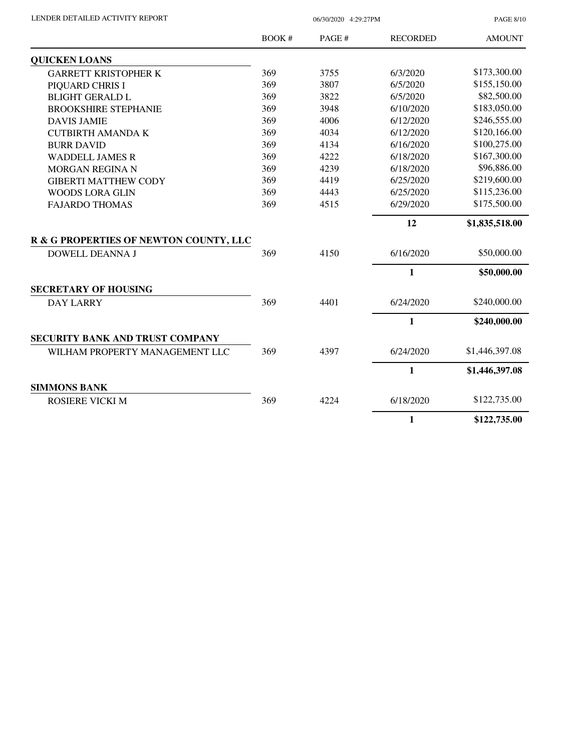| LENDER DETAILED ACTIVITY REPORT |  |
|---------------------------------|--|
|                                 |  |

06/30/2020 4:29:27PM

PAGE 8/10

|                                        | <b>BOOK#</b> | PAGE # | <b>RECORDED</b> | <b>AMOUNT</b>  |
|----------------------------------------|--------------|--------|-----------------|----------------|
| <b>QUICKEN LOANS</b>                   |              |        |                 |                |
| <b>GARRETT KRISTOPHER K</b>            | 369          | 3755   | 6/3/2020        | \$173,300.00   |
| PIQUARD CHRIS I                        | 369          | 3807   | 6/5/2020        | \$155,150.00   |
| <b>BLIGHT GERALD L</b>                 | 369          | 3822   | 6/5/2020        | \$82,500.00    |
| <b>BROOKSHIRE STEPHANIE</b>            | 369          | 3948   | 6/10/2020       | \$183,050.00   |
| <b>DAVIS JAMIE</b>                     | 369          | 4006   | 6/12/2020       | \$246,555.00   |
| <b>CUTBIRTH AMANDA K</b>               | 369          | 4034   | 6/12/2020       | \$120,166.00   |
| <b>BURR DAVID</b>                      | 369          | 4134   | 6/16/2020       | \$100,275.00   |
| <b>WADDELL JAMES R</b>                 | 369          | 4222   | 6/18/2020       | \$167,300.00   |
| MORGAN REGINA N                        | 369          | 4239   | 6/18/2020       | \$96,886.00    |
| <b>GIBERTI MATTHEW CODY</b>            | 369          | 4419   | 6/25/2020       | \$219,600.00   |
| <b>WOODS LORA GLIN</b>                 | 369          | 4443   | 6/25/2020       | \$115,236.00   |
| <b>FAJARDO THOMAS</b>                  | 369          | 4515   | 6/29/2020       | \$175,500.00   |
|                                        |              |        | 12              | \$1,835,518.00 |
| R & G PROPERTIES OF NEWTON COUNTY, LLC |              |        |                 |                |
| <b>DOWELL DEANNA J</b>                 | 369          | 4150   | 6/16/2020       | \$50,000.00    |
|                                        |              |        | $\mathbf{1}$    | \$50,000.00    |
| <b>SECRETARY OF HOUSING</b>            |              |        |                 |                |
| <b>DAY LARRY</b>                       | 369          | 4401   | 6/24/2020       | \$240,000.00   |
|                                        |              |        | $\mathbf{1}$    | \$240,000.00   |
| SECURITY BANK AND TRUST COMPANY        |              |        |                 |                |
| WILHAM PROPERTY MANAGEMENT LLC         | 369          | 4397   | 6/24/2020       | \$1,446,397.08 |
|                                        |              |        | $\mathbf{1}$    | \$1,446,397.08 |
| <b>SIMMONS BANK</b>                    |              |        |                 |                |
| <b>ROSIERE VICKI M</b>                 | 369          | 4224   | 6/18/2020       | \$122,735.00   |
|                                        |              |        | $\mathbf{1}$    | \$122,735.00   |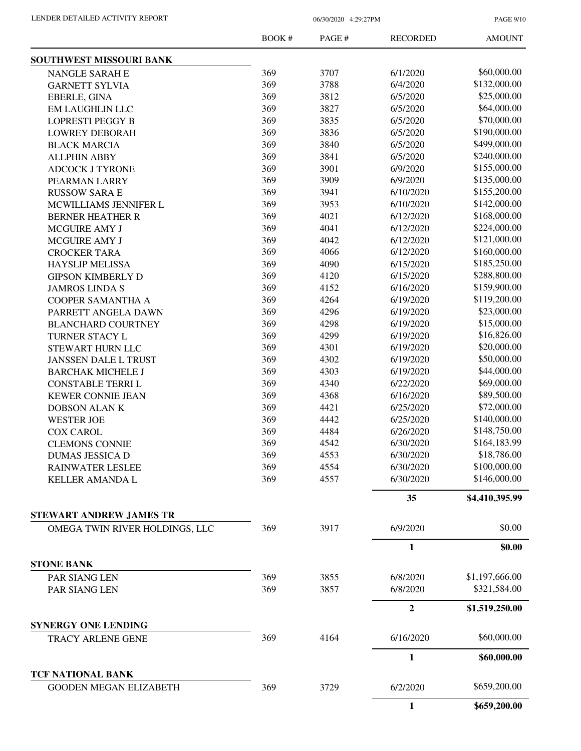PAGE 9/10

|                                                           | <b>BOOK#</b> | PAGE# | <b>RECORDED</b> | <b>AMOUNT</b>  |
|-----------------------------------------------------------|--------------|-------|-----------------|----------------|
| SOUTHWEST MISSOURI BANK                                   |              |       |                 |                |
| NANGLE SARAH E                                            | 369          | 3707  | 6/1/2020        | \$60,000.00    |
| <b>GARNETT SYLVIA</b>                                     | 369          | 3788  | 6/4/2020        | \$132,000.00   |
| EBERLE, GINA                                              | 369          | 3812  | 6/5/2020        | \$25,000.00    |
| <b>EM LAUGHLIN LLC</b>                                    | 369          | 3827  | 6/5/2020        | \$64,000.00    |
| <b>LOPRESTI PEGGY B</b>                                   | 369          | 3835  | 6/5/2020        | \$70,000.00    |
| <b>LOWREY DEBORAH</b>                                     | 369          | 3836  | 6/5/2020        | \$190,000.00   |
| <b>BLACK MARCIA</b>                                       | 369          | 3840  | 6/5/2020        | \$499,000.00   |
| <b>ALLPHIN ABBY</b>                                       | 369          | 3841  | 6/5/2020        | \$240,000.00   |
| <b>ADCOCK J TYRONE</b>                                    | 369          | 3901  | 6/9/2020        | \$155,000.00   |
| PEARMAN LARRY                                             | 369          | 3909  | 6/9/2020        | \$135,000.00   |
| <b>RUSSOW SARA E</b>                                      | 369          | 3941  | 6/10/2020       | \$155,200.00   |
| MCWILLIAMS JENNIFER L                                     | 369          | 3953  | 6/10/2020       | \$142,000.00   |
| <b>BERNER HEATHER R</b>                                   | 369          | 4021  | 6/12/2020       | \$168,000.00   |
| <b>MCGUIRE AMY J</b>                                      | 369          | 4041  | 6/12/2020       | \$224,000.00   |
| MCGUIRE AMY J                                             | 369          | 4042  | 6/12/2020       | \$121,000.00   |
| <b>CROCKER TARA</b>                                       | 369          | 4066  | 6/12/2020       | \$160,000.00   |
| <b>HAYSLIP MELISSA</b>                                    | 369          | 4090  | 6/15/2020       | \$185,250.00   |
| <b>GIPSON KIMBERLY D</b>                                  | 369          | 4120  | 6/15/2020       | \$288,800.00   |
| <b>JAMROS LINDA S</b>                                     | 369          | 4152  | 6/16/2020       | \$159,900.00   |
| <b>COOPER SAMANTHA A</b>                                  | 369          | 4264  | 6/19/2020       | \$119,200.00   |
| PARRETT ANGELA DAWN                                       | 369          | 4296  | 6/19/2020       | \$23,000.00    |
| <b>BLANCHARD COURTNEY</b>                                 | 369          | 4298  | 6/19/2020       | \$15,000.00    |
| TURNER STACY L                                            | 369          | 4299  | 6/19/2020       | \$16,826.00    |
| STEWART HURN LLC                                          | 369          | 4301  | 6/19/2020       | \$20,000.00    |
| <b>JANSSEN DALE L TRUST</b>                               | 369          | 4302  | 6/19/2020       | \$50,000.00    |
| <b>BARCHAK MICHELE J</b>                                  | 369          | 4303  | 6/19/2020       | \$44,000.00    |
| <b>CONSTABLE TERRI L</b>                                  | 369          | 4340  | 6/22/2020       | \$69,000.00    |
| <b>KEWER CONNIE JEAN</b>                                  | 369          | 4368  | 6/16/2020       | \$89,500.00    |
| <b>DOBSON ALANK</b>                                       | 369          | 4421  | 6/25/2020       | \$72,000.00    |
|                                                           | 369          | 4442  | 6/25/2020       | \$140,000.00   |
| <b>WESTER JOE</b>                                         | 369          |       | 6/26/2020       | \$148,750.00   |
| <b>COX CAROL</b>                                          |              | 4484  |                 | \$164,183.99   |
| <b>CLEMONS CONNIE</b>                                     | 369          | 4542  | 6/30/2020       | \$18,786.00    |
| DUMAS JESSICA D                                           | 369          | 4553  | 6/30/2020       |                |
| <b>RAINWATER LESLEE</b>                                   | 369          | 4554  | 6/30/2020       | \$100,000.00   |
| <b>KELLER AMANDA L</b>                                    | 369          | 4557  | 6/30/2020       | \$146,000.00   |
| <b>STEWART ANDREW JAMES TR</b>                            |              |       | 35              | \$4,410,395.99 |
| OMEGA TWIN RIVER HOLDINGS, LLC                            | 369          | 3917  | 6/9/2020        | \$0.00         |
|                                                           |              |       | 1               | \$0.00         |
| <b>STONE BANK</b>                                         |              |       |                 |                |
| PAR SIANG LEN                                             | 369          | 3855  | 6/8/2020        | \$1,197,666.00 |
| PAR SIANG LEN                                             | 369          | 3857  | 6/8/2020        | \$321,584.00   |
|                                                           |              |       | $\mathbf{2}$    | \$1,519,250.00 |
| <b>SYNERGY ONE LENDING</b>                                |              |       |                 |                |
| <b>TRACY ARLENE GENE</b>                                  | 369          | 4164  | 6/16/2020       | \$60,000.00    |
|                                                           |              |       | $\mathbf{1}$    | \$60,000.00    |
| <b>TCF NATIONAL BANK</b><br><b>GOODEN MEGAN ELIZABETH</b> | 369          | 3729  | 6/2/2020        | \$659,200.00   |
|                                                           |              |       | 1               | \$659,200.00   |